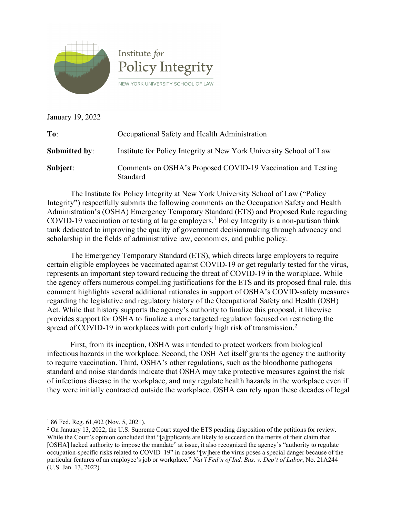

January 19, 2022

| To:                  | Occupational Safety and Health Administration                            |
|----------------------|--------------------------------------------------------------------------|
| <b>Submitted by:</b> | Institute for Policy Integrity at New York University School of Law      |
| Subject:             | Comments on OSHA's Proposed COVID-19 Vaccination and Testing<br>Standard |

The Institute for Policy Integrity at New York University School of Law ("Policy Integrity") respectfully submits the following comments on the Occupation Safety and Health Administration's (OSHA) Emergency Temporary Standard (ETS) and Proposed Rule regarding COVID-[1](#page-0-0)9 vaccination or testing at large employers.<sup>1</sup> Policy Integrity is a non-partisan think tank dedicated to improving the quality of government decisionmaking through advocacy and scholarship in the fields of administrative law, economics, and public policy.

The Emergency Temporary Standard (ETS), which directs large employers to require certain eligible employees be vaccinated against COVID-19 or get regularly tested for the virus, represents an important step toward reducing the threat of COVID-19 in the workplace. While the agency offers numerous compelling justifications for the ETS and its proposed final rule, this comment highlights several additional rationales in support of OSHA's COVID-safety measures regarding the legislative and regulatory history of the Occupational Safety and Health (OSH) Act. While that history supports the agency's authority to finalize this proposal, it likewise provides support for OSHA to finalize a more targeted regulation focused on restricting the spread of COVID-19 in workplaces with particularly high risk of transmission.<sup>[2](#page-0-1)</sup>

First, from its inception, OSHA was intended to protect workers from biological infectious hazards in the workplace. Second, the OSH Act itself grants the agency the authority to require vaccination. Third, OSHA's other regulations, such as the bloodborne pathogens standard and noise standards indicate that OSHA may take protective measures against the risk of infectious disease in the workplace, and may regulate health hazards in the workplace even if they were initially contracted outside the workplace. OSHA can rely upon these decades of legal

<span id="page-0-0"></span> $186$  Fed. Reg.  $61,402$  (Nov. 5, 2021).

<span id="page-0-1"></span><sup>&</sup>lt;sup>2</sup> On January 13, 2022, the U.S. Supreme Court stayed the ETS pending disposition of the petitions for review. While the Court's opinion concluded that "[a]pplicants are likely to succeed on the merits of their claim that [OSHA] lacked authority to impose the mandate" at issue, it also recognized the agency's "authority to regulate occupation-specific risks related to COVID–19" in cases "[w]here the virus poses a special danger because of the particular features of an employee's job or workplace." *Nat'l Fed'n of Ind. Bus. v. Dep't of Labor*, No. 21A244 (U.S. Jan. 13, 2022).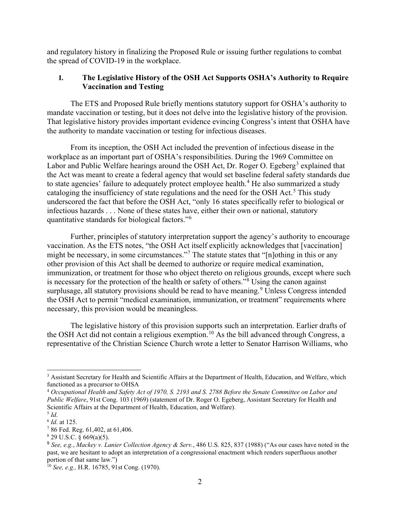and regulatory history in finalizing the Proposed Rule or issuing further regulations to combat the spread of COVID-19 in the workplace.

## **I. The Legislative History of the OSH Act Supports OSHA's Authority to Require Vaccination and Testing**

The ETS and Proposed Rule briefly mentions statutory support for OSHA's authority to mandate vaccination or testing, but it does not delve into the legislative history of the provision. That legislative history provides important evidence evincing Congress's intent that OSHA have the authority to mandate vaccination or testing for infectious diseases.

From its inception, the OSH Act included the prevention of infectious disease in the workplace as an important part of OSHA's responsibilities. During the 1969 Committee on Labor and Public Welfare hearings around the OSH Act, Dr. Roger O. Egeberg<sup>[3](#page-1-0)</sup> explained that the Act was meant to create a federal agency that would set baseline federal safety standards due to state agencies' failure to adequately protect employee health.<sup>[4](#page-1-1)</sup> He also summarized a study cataloging the insufficiency of state regulations and the need for the OSH Act.<sup>[5](#page-1-2)</sup> This study underscored the fact that before the OSH Act, "only 16 states specifically refer to biological or infectious hazards . . . None of these states have, either their own or national, statutory quantitative standards for biological factors."[6](#page-1-3)

Further, principles of statutory interpretation support the agency's authority to encourage vaccination. As the ETS notes, "the OSH Act itself explicitly acknowledges that [vaccination] might be necessary, in some circumstances."[7](#page-1-4) The statute states that "[n]othing in this or any other provision of this Act shall be deemed to authorize or require medical examination, immunization, or treatment for those who object thereto on religious grounds, except where such is necessary for the protection of the health or safety of others."[8](#page-1-5) Using the canon against surplusage, all statutory provisions should be read to have meaning.<sup>[9](#page-1-6)</sup> Unless Congress intended the OSH Act to permit "medical examination, immunization, or treatment" requirements where necessary, this provision would be meaningless.

The legislative history of this provision supports such an interpretation. Earlier drafts of the OSH Act did not contain a religious exemption.<sup>[10](#page-1-7)</sup> As the bill advanced through Congress, a representative of the Christian Science Church wrote a letter to Senator Harrison Williams, who

<span id="page-1-0"></span><sup>&</sup>lt;sup>3</sup> Assistant Secretary for Health and Scientific Affairs at the Department of Health, Education, and Welfare, which functioned as a precursor to OHSA

<span id="page-1-1"></span><sup>4</sup> *Occupational Health and Safety Act of 1970, S. 2193 and S. 2788 Before the Senate Committee on Labor and Public Welfare*, 91st Cong. 103 (1969) (statement of Dr. Roger O. Egeberg, Assistant Secretary for Health and Scientific Affairs at the Department of Health, Education, and Welfare).

<span id="page-1-2"></span> $^5$  *Id.* 

<span id="page-1-3"></span><sup>6</sup> *Id*. at 125.

<span id="page-1-4"></span><sup>7</sup> 86 Fed. Reg. 61,402, at 61,406.

<span id="page-1-5"></span> $8$  29 U.S.C. § 669(a)(5).

<span id="page-1-6"></span><sup>9</sup> *See, e.g.*, *Mackey v. Lanier Collection Agency & Serv.*, 486 U.S. 825, 837 (1988) ("As our cases have noted in the past, we are hesitant to adopt an interpretation of a congressional enactment which renders superfluous another portion of that same law.")

<span id="page-1-7"></span><sup>10</sup> *See, e.g.,* H.R. 16785, 91st Cong. (1970).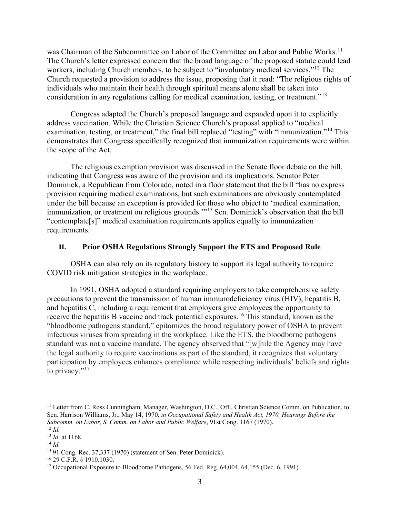was Chairman of the Subcommittee on Labor of the Committee on Labor and Public Works.<sup>[11](#page-2-0)</sup> The Church's letter expressed concern that the broad language of the proposed statute could lead workers, including Church members, to be subject to "involuntary medical services."<sup>[12](#page-2-1)</sup> The Church requested a provision to address the issue, proposing that it read: "The religious rights of individuals who maintain their health through spiritual means alone shall be taken into consideration in any regulations calling for medical examination, testing, or treatment."<sup>[13](#page-2-2)</sup>

Congress adapted the Church's proposed language and expanded upon it to explicitly address vaccination. While the Christian Science Church's proposal applied to "medical examination, testing, or treatment," the final bill replaced "testing" with "immunization."<sup>[14](#page-2-3)</sup> This demonstrates that Congress specifically recognized that immunization requirements were within the scope of the Act.

The religious exemption provision was discussed in the Senate floor debate on the bill, indicating that Congress was aware of the provision and its implications. Senator Peter Dominick, a Republican from Colorado, noted in a floor statement that the bill "has no express provision requiring medical examinations, but such examinations are obviously contemplated under the bill because an exception is provided for those who object to 'medical examination, immunization, or treatment on religious grounds.'"[15](#page-2-4) Sen. Dominick's observation that the bill "contemplate[s]" medical examination requirements applies equally to immunization requirements.

## **II. Prior OSHA Regulations Strongly Support the ETS and Proposed Rule**

OSHA can also rely on its regulatory history to support its legal authority to require COVID risk mitigation strategies in the workplace.

In 1991, OSHA adopted a standard requiring employers to take comprehensive safety precautions to prevent the transmission of human immunodeficiency virus (HIV), hepatitis B, and hepatitis C, including a requirement that employers give employees the opportunity to receive the hepatitis B vaccine and track potential exposures.<sup>[16](#page-2-5)</sup> This standard, known as the "bloodborne pathogens standard," epitomizes the broad regulatory power of OSHA to prevent infectious viruses from spreading in the workplace. Like the ETS, the bloodborne pathogens standard was not a vaccine mandate. The agency observed that "[w]hile the Agency may have the legal authority to require vaccinations as part of the standard, it recognizes that voluntary participation by employees enhances compliance while respecting individuals' beliefs and rights to privacy." $17$ 

<span id="page-2-0"></span><sup>&</sup>lt;sup>11</sup> Letter from C. Ross Cunningham, Manager, Washington, D.C., Off., Christian Science Comm. on Publication, to Sen. Harrison Williams, Jr., May 14, 1970, *in Occupational Safety and Health Act, 1970, Hearings Before the Subcomm. on Labor, S. Comm. on Labor and Public Welfare*, 91st Cong. 1167 (1970). <sup>12</sup> *Id.*

<span id="page-2-1"></span><sup>13</sup> *Id.* at 1168.

<span id="page-2-3"></span><span id="page-2-2"></span><sup>14</sup> *Id.*

<span id="page-2-4"></span><sup>15</sup> 91 Cong. Rec. 37,337 (1970) (statement of Sen. Peter Dominick).

<span id="page-2-5"></span><sup>16</sup> 29 C.F.R. § 1910.1030.

<span id="page-2-6"></span><sup>&</sup>lt;sup>17</sup> Occupational Exposure to Bloodborne Pathogens, 56 Fed. Reg. 64,004, 64,155 (Dec. 6, 1991).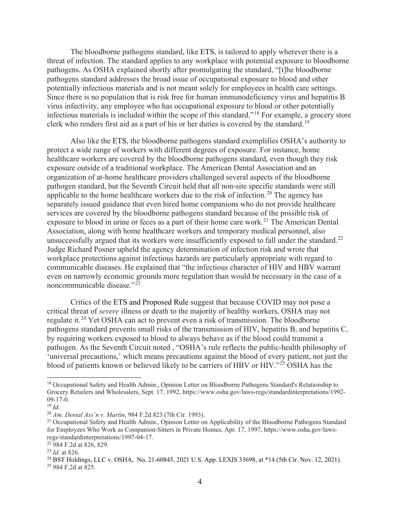The bloodborne pathogens standard, like ETS, is tailored to apply wherever there is a threat of infection. The standard applies to any workplace with potential exposure to bloodborne pathogens. As OSHA explained shortly after promulgating the standard, "[t]he bloodborne pathogens standard addresses the broad issue of occupational exposure to blood and other potentially infectious materials and is not meant solely for employees in health care settings. Since there is no population that is risk free for human immunodeficiency virus and hepatitis B virus infectivity, any employee who has occupational exposure to blood or other potentially infectious materials is included within the scope of this standard."[18](#page-3-0) For example, a grocery store clerk who renders first aid as a part of his or her duties is covered by the standard.<sup>[19](#page-3-1)</sup>

Also like the ETS, the bloodborne pathogens standard exemplifies OSHA's authority to protect a wide range of workers with different degrees of exposure. For instance, home healthcare workers are covered by the bloodborne pathogens standard, even though they risk exposure outside of a traditional workplace. The American Dental Association and an organization of at-home healthcare providers challenged several aspects of the bloodborne pathogen standard, but the Seventh Circuit held that all non-site specific standards were still applicable to the home healthcare workers due to the risk of infection.<sup>[20](#page-3-2)</sup> The agency has separately issued guidance that even hired home companions who do not provide healthcare services are covered by the bloodborne pathogens standard because of the possible risk of exposure to blood in urine or feces as a part of their home care work.<sup>[21](#page-3-3)</sup> The American Dental Association, along with home healthcare workers and temporary medical personnel, also unsuccessfully argued that its workers were insufficiently exposed to fall under the standard.<sup>[22](#page-3-4)</sup> Judge Richard Posner upheld the agency determination of infection risk and wrote that workplace protections against infectious hazards are particularly appropriate with regard to communicable diseases. He explained that "the infectious character of HIV and HBV warrant even on narrowly economic grounds more regulation than would be necessary in the case of a noncommunicable disease."<sup>[23](#page-3-5)</sup>

Critics of the ETS and Proposed Rule suggest that because COVID may not pose a critical threat of *severe* illness or death to the majority of healthy workers, OSHA may not regulate it.<sup>[24](#page-3-6)</sup> Yet OSHA can act to prevent even a risk of transmission. The bloodborne pathogens standard prevents small risks of the transmission of HIV, hepatitis B, and hepatitis C, by requiring workers exposed to blood to always behave as if the blood could transmit a pathogen. As the Seventh Circuit noted , "OSHA's rule reflects the public-health philosophy of 'universal precautions,' which means precautions against the blood of every patient, not just the blood of patients known or believed likely to be carriers of HBV or HIV."[25](#page-3-7) OSHA has the

<span id="page-3-0"></span><sup>&</sup>lt;sup>18</sup> Occupational Safety and Health Admin., Opinion Letter on Bloodborne Pathogens Standard's Relationship to Grocery Retailers and Wholesalers, Sept. 17, 1992, https://www.osha.gov/laws-regs/standardinterpretations/1992- 09-17-0.

<span id="page-3-1"></span><sup>19</sup> *Id*.

<span id="page-3-2"></span><sup>20</sup> *Am. Dental Ass'n v. Martin*, 984 F.2d 823 (7th Cir. 1993).

<span id="page-3-3"></span><sup>&</sup>lt;sup>21</sup> Occupational Safety and Health Admin., Opinion Letter on Applicability of the Bloodborne Pathogens Standard for Employees Who Work as Companion-Sitters in Private Homes, Apr. 17, 1997, https://www.osha.gov/lawsregs/standardinterpretations/1997-04-17.

<span id="page-3-4"></span><sup>22</sup> 984 F.2d at 826, 829.

<span id="page-3-5"></span><sup>23</sup> *Id.* at 826.

<span id="page-3-7"></span><span id="page-3-6"></span><sup>&</sup>lt;sup>24</sup> BST Holdings, LLC v. OSHA, No. 21-60845, 2021 U.S. App. LEXIS 33698, at \*14 (5th Cir. Nov. 12, 2021). <sup>25</sup> 984 F.2d at 825.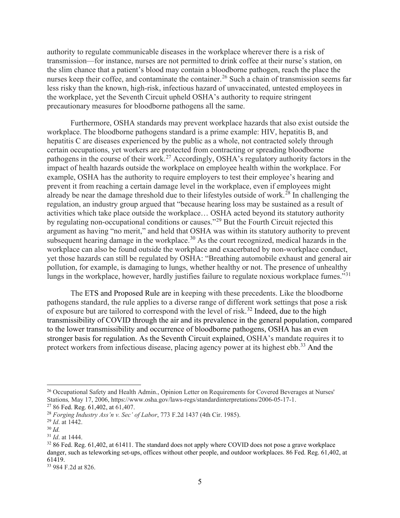authority to regulate communicable diseases in the workplace wherever there is a risk of transmission—for instance, nurses are not permitted to drink coffee at their nurse's station, on the slim chance that a patient's blood may contain a bloodborne pathogen, reach the place the nurses keep their coffee, and contaminate the container. [26](#page-4-0) Such a chain of transmission seems far less risky than the known, high-risk, infectious hazard of unvaccinated, untested employees in the workplace, yet the Seventh Circuit upheld OSHA's authority to require stringent precautionary measures for bloodborne pathogens all the same.

Furthermore, OSHA standards may prevent workplace hazards that also exist outside the workplace. The bloodborne pathogens standard is a prime example: HIV, hepatitis B, and hepatitis C are diseases experienced by the public as a whole, not contracted solely through certain occupations, yet workers are protected from contracting or spreading bloodborne pathogens in the course of their work.<sup>[27](#page-4-1)</sup> Accordingly, OSHA's regulatory authority factors in the impact of health hazards outside the workplace on employee health within the workplace. For example, OSHA has the authority to require employers to test their employee's hearing and prevent it from reaching a certain damage level in the workplace, even if employees might already be near the damage threshold due to their lifestyles outside of work.<sup>[28](#page-4-2)</sup> In challenging the regulation, an industry group argued that "because hearing loss may be sustained as a result of activities which take place outside the workplace… OSHA acted beyond its statutory authority by regulating non-occupational conditions or causes."<sup>[29](#page-4-3)</sup> But the Fourth Circuit rejected this argument as having "no merit," and held that OSHA was within its statutory authority to prevent subsequent hearing damage in the workplace.<sup>[30](#page-4-4)</sup> As the court recognized, medical hazards in the workplace can also be found outside the workplace and exacerbated by non-workplace conduct, yet those hazards can still be regulated by OSHA: "Breathing automobile exhaust and general air pollution, for example, is damaging to lungs, whether healthy or not. The presence of unhealthy lungs in the workplace, however, hardly justifies failure to regulate noxious workplace fumes."<sup>[31](#page-4-5)</sup>

The ETS and Proposed Rule are in keeping with these precedents. Like the bloodborne pathogens standard, the rule applies to a diverse range of different work settings that pose a risk of exposure but are tailored to correspond with the level of risk.<sup>[32](#page-4-6)</sup> Indeed, due to the high transmissibility of COVID through the air and its prevalence in the general population, compared to the lower transmissibility and occurrence of bloodborne pathogens, OSHA has an even stronger basis for regulation. As the Seventh Circuit explained, OSHA's mandate requires it to protect workers from infectious disease, placing agency power at its highest ebb.<sup>[33](#page-4-7)</sup> And the

<span id="page-4-0"></span><sup>&</sup>lt;sup>26</sup> Occupational Safety and Health Admin., Opinion Letter on Requirements for Covered Beverages at Nurses' Stations*,* May 17, 2006, https://www.osha.gov/laws-regs/standardinterpretations/2006-05-17-1.

<span id="page-4-1"></span><sup>27</sup> 86 Fed. Reg. 61,402, at 61,407.

<span id="page-4-2"></span><sup>28</sup> *Forging Industry Ass'n v. Sec' of Labor*, 773 F.2d 1437 (4th Cir. 1985).

<span id="page-4-3"></span><sup>29</sup> *Id*. at 1442.

<span id="page-4-4"></span><sup>30</sup> *Id.*

<span id="page-4-5"></span><sup>31</sup> *Id*. at 1444.

<span id="page-4-6"></span><sup>&</sup>lt;sup>32</sup> 86 Fed. Reg. 61,402, at 61411. The standard does not apply where COVID does not pose a grave workplace danger, such as teleworking set-ups, offices without other people, and outdoor workplaces. 86 Fed. Reg. 61,402, at 61419.

<span id="page-4-7"></span><sup>33</sup> 984 F.2d at 826.